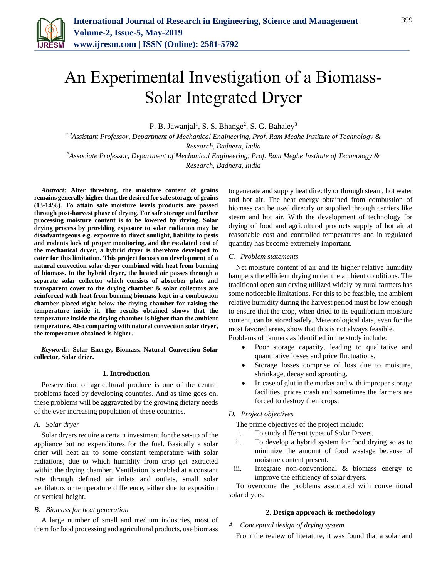

# An Experimental Investigation of a Biomass-Solar Integrated Dryer

P. B. Jawanjal<sup>1</sup>, S. S. Bhange<sup>2</sup>, S. G. Bahaley<sup>3</sup>

*1,2Assistant Professor, Department of Mechanical Engineering, Prof. Ram Meghe Institute of Technology & Research, Badnera, India*

*<sup>3</sup>Associate Professor, Department of Mechanical Engineering, Prof. Ram Meghe Institute of Technology & Research, Badnera, India*

*Abstract***: After threshing, the moisture content of grains remains generally higher than the desired for safe storage of grains (13-14%). To attain safe moisture levels products are passed through post-harvest phase of drying. For safe storage and further processing moisture content is to be lowered by drying. Solar drying process by providing exposure to solar radiation may be disadvantageous e.g. exposure to direct sunlight, liability to pests and rodents lack of proper monitoring, and the escalated cost of the mechanical dryer, a hybrid dryer is therefore developed to cater for this limitation. This project focuses on development of a natural convection solar dryer combined with heat from burning of biomass. In the hybrid dryer, the heated air passes through a separate solar collector which consists of absorber plate and transparent cover to the drying chamber & solar collectors are reinforced with heat from burning biomass kept in a combustion chamber placed right below the drying chamber for raising the temperature inside it. The results obtained shows that the temperature inside the drying chamber is higher than the ambient temperature. Also comparing with natural convection solar dryer, the temperature obtained is higher.**

*Keywords***: Solar Energy, Biomass, Natural Convection Solar collector, Solar drier.**

# **1. Introduction**

Preservation of agricultural produce is one of the central problems faced by developing countries. And as time goes on, these problems will be aggravated by the growing dietary needs of the ever increasing population of these countries.

*A. Solar dryer* 

Solar dryers require a certain investment for the set-up of the appliance but no expenditures for the fuel. Basically a solar drier will heat air to some constant temperature with solar radiations, due to which humidity from crop get extracted within the drying chamber. Ventilation is enabled at a constant rate through defined air inlets and outlets, small solar ventilators or temperature difference, either due to exposition or vertical height.

# *B. Biomass for heat generation*

A large number of small and medium industries, most of them for food processing and agricultural products, use biomass to generate and supply heat directly or through steam, hot water and hot air. The heat energy obtained from combustion of biomass can be used directly or supplied through carriers like steam and hot air. With the development of technology for drying of food and agricultural products supply of hot air at reasonable cost and controlled temperatures and in regulated quantity has become extremely important.

# *C. Problem statements*

Net moisture content of air and its higher relative humidity hampers the efficient drying under the ambient conditions. The traditional open sun drying utilized widely by rural farmers has some noticeable limitations. For this to be feasible, the ambient relative humidity during the harvest period must be low enough to ensure that the crop, when dried to its equilibrium moisture content, can be stored safely. Meteorological data, even for the most favored areas, show that this is not always feasible. Problems of farmers as identified in the study include:

- Poor storage capacity, leading to qualitative and quantitative losses and price fluctuations.
- Storage losses comprise of loss due to moisture, shrinkage, decay and sprouting.
- In case of glut in the market and with improper storage facilities, prices crash and sometimes the farmers are forced to destroy their crops.

#### *D. Project objectives*

The prime objectives of the project include:

- i. To study different types of Solar Dryers.
- ii. To develop a hybrid system for food drying so as to minimize the amount of food wastage because of moisture content present.
- iii. Integrate non-conventional & biomass energy to improve the efficiency of solar dryers.

To overcome the problems associated with conventional solar dryers.

#### **2. Design approach & methodology**

# *A. Conceptual design of drying system*

From the review of literature, it was found that a solar and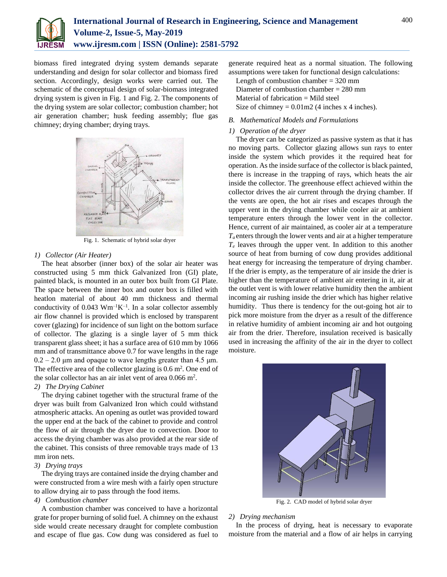

biomass fired integrated drying system demands separate understanding and design for solar collector and biomass fired section. Accordingly, design works were carried out. The schematic of the conceptual design of solar-biomass integrated drying system is given in Fig. 1 and Fig. 2. The components of the drying system are solar collector; combustion chamber; hot air generation chamber; husk feeding assembly; flue gas chimney; drying chamber; drying trays.



Fig. 1. Schematic of hybrid solar dryer

#### *1) Collector (Air Heater)*

The heat absorber (inner box) of the solar air heater was constructed using 5 mm thick Galvanized Iron (GI) plate, painted black, is mounted in an outer box built from GI Plate. The space between the inner box and outer box is filled with heatlon material of about 40 mm thickness and thermal conductivity of  $0.043 \text{ Wm}^{-1}\text{K}^{-1}$ . In a solar collector assembly air flow channel is provided which is enclosed by transparent cover (glazing) for incidence of sun light on the bottom surface of collector. The glazing is a single layer of 5 mm thick transparent glass sheet; it has a surface area of 610 mm by 1066 mm and of transmittance above 0.7 for wave lengths in the rage  $0.2 - 2.0$  μm and opaque to wave lengths greater than 4.5 μm. The effective area of the collector glazing is  $0.6 \text{ m}^2$ . One end of the solar collector has an air inlet vent of area  $0.066$  m<sup>2</sup>.

# *2) The Drying Cabinet*

The drying cabinet together with the structural frame of the dryer was built from Galvanized Iron which could withstand atmospheric attacks. An opening as outlet was provided toward the upper end at the back of the cabinet to provide and control the flow of air through the dryer due to convection. Door to access the drying chamber was also provided at the rear side of the cabinet. This consists of three removable trays made of 13 mm iron nets.

# *3) Drying trays*

The drying trays are contained inside the drying chamber and were constructed from a wire mesh with a fairly open structure to allow drying air to pass through the food items.

# *4) Combustion chamber*

A combustion chamber was conceived to have a horizontal grate for proper burning of solid fuel. A chimney on the exhaust side would create necessary draught for complete combustion and escape of flue gas. Cow dung was considered as fuel to

generate required heat as a normal situation. The following assumptions were taken for functional design calculations:

Length of combustion chamber = 320 mm Diameter of combustion chamber = 280 mm Material of fabrication  $=$  Mild steel Size of chimney  $= 0.01 \text{m}$  (4 inches x 4 inches).

#### *B. Mathematical Models and Formulations*

#### *1) Operation of the dryer*

The dryer can be categorized as passive system as that it has no moving parts. Collector glazing allows sun rays to enter inside the system which provides it the required heat for operation. As the inside surface of the collector is black painted, there is increase in the trapping of rays, which heats the air inside the collector. The greenhouse effect achieved within the collector drives the air current through the drying chamber. If the vents are open, the hot air rises and escapes through the upper vent in the drying chamber while cooler air at ambient temperature enters through the lower vent in the collector. Hence, current of air maintained, as cooler air at a temperature  $T_a$  enters through the lower vents and air at a higher temperature  $T_e$  leaves through the upper vent. In addition to this another source of heat from burning of cow dung provides additional heat energy for increasing the temperature of drying chamber. If the drier is empty, as the temperature of air inside the drier is higher than the temperature of ambient air entering in it, air at the outlet vent is with lower relative humidity then the ambient incoming air rushing inside the drier which has higher relative humidity. Thus there is tendency for the out-going hot air to pick more moisture from the dryer as a result of the difference in relative humidity of ambient incoming air and hot outgoing air from the drier. Therefore, insulation received is basically used in increasing the affinity of the air in the dryer to collect moisture.



Fig. 2. CAD model of hybrid solar dryer

#### *2) Drying mechanism*

In the process of drying, heat is necessary to evaporate moisture from the material and a flow of air helps in carrying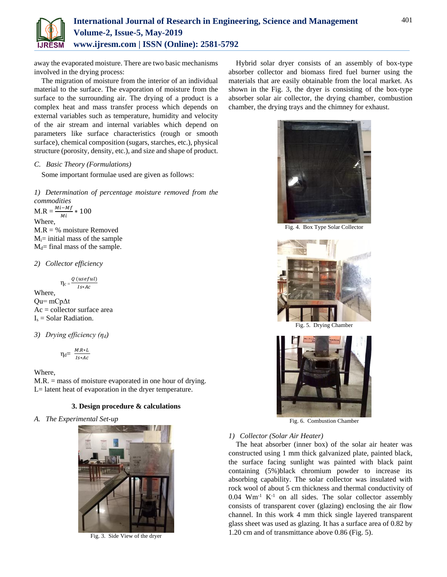

away the evaporated moisture. There are two basic mechanisms involved in the drying process:

The migration of moisture from the interior of an individual material to the surface. The evaporation of moisture from the surface to the surrounding air. The drying of a product is a complex heat and mass transfer process which depends on external variables such as temperature, humidity and velocity of the air stream and internal variables which depend on parameters like surface characteristics (rough or smooth surface), chemical composition (sugars, starches, etc.), physical structure (porosity, density, etc.), and size and shape of product.

# *C. Basic Theory (Formulations)*

Some important formulae used are given as follows:

*1) Determination of percentage moisture removed from the commodities*  $M.R = \frac{Mi - Mf}{Mi} * 100$ 

Where, M.R = % moisture Removed  $M_i$ = initial mass of the sample  $M_d$ = final mass of the sample.

*2) Collector efficiency*

$$
\eta_c = \frac{Q \ (useful)}{Is*Ac}
$$

Where, Qu= mCpΔt  $Ac =$  collector surface area  $I_s =$  Solar Radiation.

*3) Drying efficiency (ηd)*

$$
\eta_d\!\!=\!\frac{\textit{M.R}*\textit{L}}{\textit{Is}*{\textit{Ac}}}
$$

Where,

M.R. = mass of moisture evaporated in one hour of drying. L= latent heat of evaporation in the dryer temperature.

# **3. Design procedure & calculations**

*A. The Experimental Set-up*



Fig. 3. Side View of the dryer

Hybrid solar dryer consists of an assembly of box-type absorber collector and biomass fired fuel burner using the materials that are easily obtainable from the local market. As shown in the Fig. 3, the dryer is consisting of the box-type absorber solar air collector, the drying chamber, combustion chamber, the drying trays and the chimney for exhaust.



Fig. 4. Box Type Solar Collector



Fig. 5. Drying Chamber



Fig. 6. Combustion Chamber

# *1) Collector (Solar Air Heater)*

The heat absorber (inner box) of the solar air heater was constructed using 1 mm thick galvanized plate, painted black, the surface facing sunlight was painted with black paint containing (5%)black chromium powder to increase its absorbing capability. The solar collector was insulated with rock wool of about 5 cm thickness and thermal conductivity of  $0.04$  Wm<sup>-1</sup> K<sup>-1</sup> on all sides. The solar collector assembly consists of transparent cover (glazing) enclosing the air flow channel. In this work 4 mm thick single layered transparent glass sheet was used as glazing. It has a surface area of 0.82 by 1.20 cm and of transmittance above 0.86 (Fig. 5).